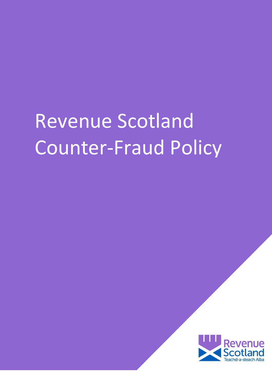# Revenue Scotland Counter-Fraud Policy

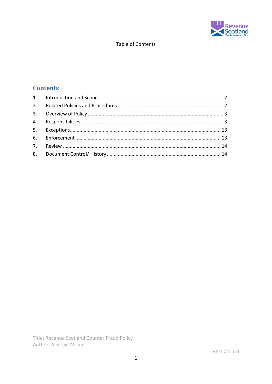

## Table of Contents

# **Contents**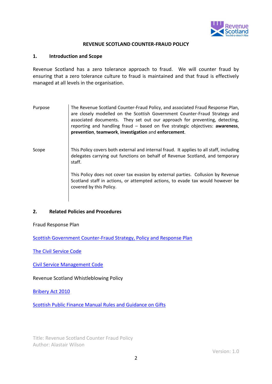

#### **REVENUE SCOTLAND COUNTER-FRAUD POLICY**

#### <span id="page-2-0"></span>**1. Introduction and Scope**

Revenue Scotland has a zero tolerance approach to fraud. We will counter fraud by ensuring that a zero tolerance culture to fraud is maintained and that fraud is effectively managed at all levels in the organisation.

- <span id="page-2-1"></span>Purpose The Revenue Scotland Counter-Fraud Policy, and associated Fraud Response Plan, are closely modelled on the Scottish Government Counter-Fraud Strategy and associated documents. They set out our approach for preventing, detecting, reporting and handling fraud – based on five strategic objectives: **awareness**, **prevention**, **teamwork**, **investigation** and **enforcement**. Scope This Policy covers both external and internal fraud. It applies to all staff, including
	- delegates carrying out functions on behalf of Revenue Scotland, and temporary staff.

This Policy does not cover tax evasion by external parties. Collusion by Revenue Scotland staff in actions, or attempted actions, to evade tax would however be covered by this Policy.

## **2. Related Policies and Procedures**

Fraud Response Pla[n](http://placeholder/)

[Scottish Government Counter-Fraud Strategy, Policy and Response Plan](http://intranet/Resource/Doc/NoTopic/0034474.pdf)

[The Civil Service Code](https://www.gov.uk/government/publications/civil-service-code/the-civil-service-code)

[Civil Service Management Code](https://www.gov.uk/government/uploads/system/uploads/attachment_data/file/418696/CSMC-_April_2015.pdf)

Revenue Scotland Whistleblowing Policy

[Bribery Act 2010](http://www.scotland.gov.uk/Topics/Justice/law/briberyandcorruption)

<span id="page-2-2"></span>Scottish Public Finance Manual [Rules and Guidance on Gifts](http://www.gov.scot/Topics/Government/Finance/spfm/gifts)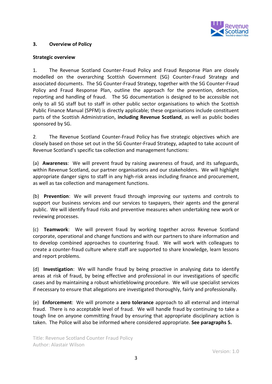

## **3. Overview of Policy**

## **Strategic overview**

1. The Revenue Scotland Counter-Fraud Policy and Fraud Response Plan are closely modelled on the overarching Scottish Government (SG) Counter-Fraud Strategy and associated documents. The SG Counter-Fraud Strategy, together with the SG Counter-Fraud Policy and Fraud Response Plan, outline the approach for the prevention, detection, reporting and handling of fraud. The SG documentation is designed to be accessible not only to all SG staff but to staff in other public sector organisations to which the Scottish Public Finance Manual (SPFM) is directly applicable; these organisations include constituent parts of the Scottish Administration, **including Revenue Scotland**, as well as public bodies sponsored by SG.

2. The Revenue Scotland Counter-Fraud Policy has five strategic objectives which are closely based on those set out in the SG Counter-Fraud Strategy, adapted to take account of Revenue Scotland's specific tax collection and management functions:

(a) **Awareness**: We will prevent fraud by raising awareness of fraud, and its safeguards, within Revenue Scotland, our partner organisations and our stakeholders. We will highlight appropriate danger signs to staff in any high-risk areas including finance and procurement, as well as tax collection and management functions.

(b) **Prevention**: We will prevent fraud through improving our systems and controls to support our business services and our services to taxpayers, their agents and the general public. We will identify fraud risks and preventive measures when undertaking new work or reviewing processes.

(c) **Teamwork**: We will prevent fraud by working together across Revenue Scotland corporate, operational and change functions and with our partners to share information and to develop combined approaches to countering fraud. We will work with colleagues to create a counter-fraud culture where staff are supported to share knowledge, learn lessons and report problems.

(d) **Investigation**: We will handle fraud by being proactive in analysing data to identify areas at risk of fraud, by being effective and professional in our investigations of specific cases and by maintaining a robust whistleblowing procedure. We will use specialist services if necessary to ensure that allegations are investigated thoroughly, fairly and professionally.

<span id="page-3-0"></span>(e) **Enforcement**: We will promote a **zero tolerance** approach to all external and internal fraud. There is no acceptable level of fraud. We will handle fraud by continuing to take a tough line on anyone committing fraud by ensuring that appropriate disciplinary action is taken. The Police will also be informed where considered appropriate. **See paragraphs 5.**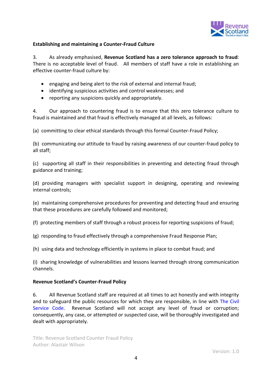

## **Establishing and maintaining a Counter-Fraud Culture**

3. As already emphasised, **Revenue Scotland has a zero tolerance approach to fraud**: There is no acceptable level of fraud. All members of staff have a role in establishing an effective counter-fraud culture by:

- engaging and being alert to the risk of external and internal fraud;
- identifying suspicious activities and control weaknesses; and
- reporting any suspicions quickly and appropriately.

4. Our approach to countering fraud is to ensure that this zero tolerance culture to fraud is maintained and that fraud is effectively managed at all levels, as follows:

(a) committing to clear ethical standards through this formal Counter-Fraud Policy;

(b) communicating our attitude to fraud by raising awareness of our counter-fraud policy to all staff;

(c) supporting all staff in their responsibilities in preventing and detecting fraud through guidance and training;

(d) providing managers with specialist support in designing, operating and reviewing internal controls;

(e) maintaining comprehensive procedures for preventing and detecting fraud and ensuring that these procedures are carefully followed and monitored;

(f) protecting members of staff through a robust process for reporting suspicions of fraud;

(g) responding to fraud effectively through a comprehensive Fraud Response Plan;

(h) using data and technology efficiently in systems in place to combat fraud; and

(i) sharing knowledge of vulnerabilities and lessons learned through strong communication channels.

## **Revenue Scotland's Counter-Fraud Policy**

6. All Revenue Scotland staff are required at all times to act honestly and with integrity and to safeguard the public resources for which they are responsible, in line with [The Civil](https://www.gov.uk/government/publications/civil-service-code/the-civil-service-code)  [Service Code.](https://www.gov.uk/government/publications/civil-service-code/the-civil-service-code) Revenue Scotland will not accept any level of fraud or corruption; consequently, any case, or attempted or suspected case, will be thoroughly investigated and dealt with appropriately.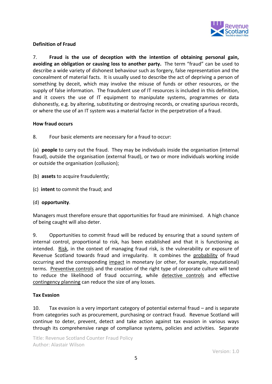

## **Definition of Fraud**

7. **Fraud is the use of deception with the intention of obtaining personal gain, avoiding an obligation or causing loss to another party.** The term "fraud" can be used to describe a wide variety of dishonest behaviour such as forgery, false representation and the concealment of material facts. It is usually used to describe the act of depriving a person of something by deceit, which may involve the misuse of funds or other resources, or the supply of false information. The fraudulent use of IT resources is included in this definition, and it covers the use of IT equipment to manipulate systems, programmes or data dishonestly, e.g. by altering, substituting or destroying records, or creating spurious records, or where the use of an IT system was a material factor in the perpetration of a fraud.

## **How fraud occurs**

8. Four basic elements are necessary for a fraud to occur:

(a) **people** to carry out the fraud. They may be individuals inside the organisation (internal fraud), outside the organisation (external fraud), or two or more individuals working inside or outside the organisation (collusion);

- (b) **assets** to acquire fraudulently;
- (c) **intent** to commit the fraud; and

## (d) **opportunity**.

Managers must therefore ensure that opportunities for fraud are minimised. A high chance of being caught will also deter.

9. Opportunities to commit fraud will be reduced by ensuring that a sound system of internal control, proportional to risk, has been established and that it is functioning as intended. Risk, in the context of managing fraud risk, is the vulnerability or exposure of Revenue Scotland towards fraud and irregularity. It combines the probability of fraud occurring and the corresponding impact in monetary (or other, for example, reputational) terms. Preventive controls and the creation of the right type of corporate culture will tend to reduce the likelihood of fraud occurring, while detective controls and effective contingency planning can reduce the size of any losses.

## **Tax Evasion**

10. Tax evasion is a very important category of potential external fraud – and is separate from categories such as procurement, purchasing or contract fraud. Revenue Scotland will continue to deter, prevent, detect and take action against tax evasion in various ways through its comprehensive range of compliance systems, policies and activities. Separate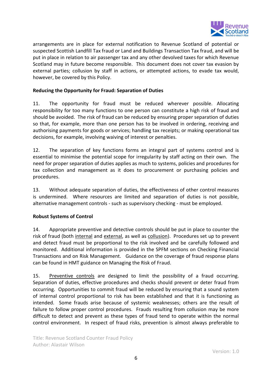

arrangements are in place for external notification to Revenue Scotland of potential or suspected Scottish Landfill Tax fraud or Land and Buildings Transaction Tax fraud, and will be put in place in relation to air passenger tax and any other devolved taxes for which Revenue Scotland may in future become responsible. This document does not cover tax evasion by external parties; collusion by staff in actions, or attempted actions, to evade tax would, however, be covered by this Policy.

## **Reducing the Opportunity for Fraud: Separation of Duties**

11. The opportunity for fraud must be reduced wherever possible. Allocating responsibility for too many functions to one person can constitute a high risk of fraud and should be avoided. The risk of fraud can be reduced by ensuring proper separation of duties so that, for example, more than one person has to be involved in ordering, receiving and authorising payments for goods or services; handling tax receipts; or making operational tax decisions, for example, involving waiving of interest or penalties.

12. The separation of key functions forms an integral part of systems control and is essential to minimise the potential scope for irregularity by staff acting on their own. The need for proper separation of duties applies as much to systems, policies and procedures for tax collection and management as it does to procurement or purchasing policies and procedures.

13. Without adequate separation of duties, the effectiveness of other control measures is undermined. Where resources are limited and separation of duties is not possible, alternative management controls - such as supervisory checking - must be employed.

## **Robust Systems of Control**

14. Appropriate preventive and detective controls should be put in place to counter the risk of fraud (both internal and external, as well as collusion). Procedures set up to prevent and detect fraud must be proportional to the risk involved and be carefully followed and monitored. Additional information is provided in the SPFM sections on Checking Financial Transactions and on Risk Management. Guidance on the coverage of fraud response plans can be found in HMT guidance on Managing the Risk of Fraud.

15. Preventive controls are designed to limit the possibility of a fraud occurring. Separation of duties, effective procedures and checks should prevent or deter fraud from occurring. Opportunities to commit fraud will be reduced by ensuring that a sound system of internal control proportional to risk has been established and that it is functioning as intended. Some frauds arise because of systemic weaknesses; others are the result of failure to follow proper control procedures. Frauds resulting from collusion may be more difficult to detect and prevent as these types of fraud tend to operate within the normal control environment. In respect of fraud risks, prevention is almost always preferable to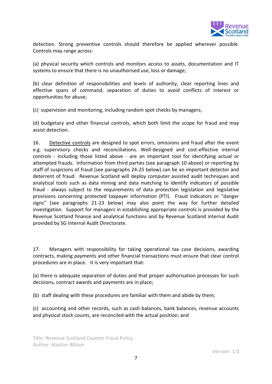

detection. Strong preventive controls should therefore be applied wherever possible. Controls may range across:

(a) physical security which controls and monitors access to assets, documentation and IT systems to ensure that there is no unauthorised use, loss or damage;

(b) clear definition of responsibilities and levels of authority, clear reporting lines and effective spans of command, separation of duties to avoid conflicts of interest or opportunities for abuse;

(c) supervision and monitoring, including random spot checks by managers;

(d) budgetary and other financial controls, which both limit the scope for fraud and may assist detection.

16. Detective controls are designed to spot errors, omissions and fraud after the event e.g. supervisory checks and reconciliations. Well-designed and cost-effective internal controls - including those listed above - are an important tool for identifying actual or attempted frauds. Information from third parties (see paragraph 10 above) or reporting by staff of suspicions of fraud (see paragraphs 24-25 below) can be an important detector and deterrent of fraud. Revenue Scotland will deploy computer assisted audit techniques and analytical tools such as data mining and data matching to identify indicators of possible fraud - always subject to the requirements of data protection legislation and legislative provisions concerning protected taxpayer information (PTI). Fraud indicators or "danger signs" (see paragraphs 21-23 below) may also point the way for further detailed investigation. Support for managers in establishing appropriate controls is provided by the Revenue Scotland finance and analytical functions and by Revenue Scotland internal Audit provided by SG Internal Audit Directorate.

17. Managers with responsibility for taking operational tax case decisions, awarding contracts, making payments and other financial transactions must ensure that clear control procedures are in place. It is very important that:

(a) there is adequate separation of duties and that proper authorisation processes for such decisions, contract awards and payments are in place;

(b) staff dealing with these procedures are familiar with them and abide by them;

(c) accounting and other records, such as cash balances, bank balances, revenue accounts and physical stock counts, are reconciled with the actual position; and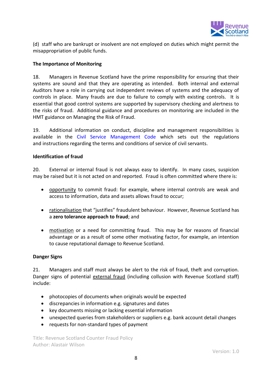

(d) staff who are bankrupt or insolvent are not employed on duties which might permit the misappropriation of public funds.

## **The Importance of Monitoring**

18. Managers in Revenue Scotland have the prime responsibility for ensuring that their systems are sound and that they are operating as intended. Both internal and external Auditors have a role in carrying out independent reviews of systems and the adequacy of controls in place. Many frauds are due to failure to comply with existing controls. It is essential that good control systems are supported by supervisory checking and alertness to the risks of fraud. Additional guidance and procedures on monitoring are included in the HMT guidance on Managing the Risk of Fraud.

19. Additional information on conduct, discipline and management responsibilities is available in the [Civil Service Management Code](https://www.gov.uk/government/uploads/system/uploads/attachment_data/file/418696/CSMC-_April_2015.pdf) which sets out the regulations and instructions regarding the terms and conditions of service of civil servants.

## **Identification of fraud**

20. External or internal fraud is not always easy to identify. In many cases, suspicion may be raised but it is not acted on and reported. Fraud is often committed where there is:

- opportunity to commit fraud: for example, where internal controls are weak and access to information, data and assets allows fraud to occur;
- rationalisation that "justifies" fraudulent behaviour. However, Revenue Scotland has a **zero tolerance approach to fraud**; and
- motivation or a need for committing fraud. This may be for reasons of financial advantage or as a result of some other motivating factor, for example, an intention to cause reputational damage to Revenue Scotland.

## **Danger Signs**

21. Managers and staff must always be alert to the risk of fraud, theft and corruption. Danger signs of potential external fraud (including collusion with Revenue Scotland staff) include:

- photocopies of documents when originals would be expected
- discrepancies in information e.g. signatures and dates
- key documents missing or lacking essential information
- unexpected queries from stakeholders or suppliers e.g. bank account detail changes
- requests for non-standard types of payment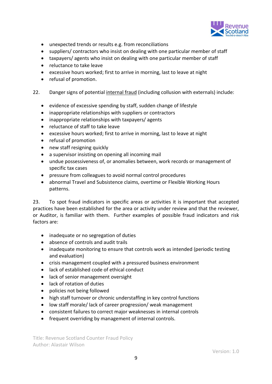

- unexpected trends or results e.g. from reconciliations
- suppliers/ contractors who insist on dealing with one particular member of staff
- taxpayers/ agents who insist on dealing with one particular member of staff
- reluctance to take leave
- excessive hours worked; first to arrive in morning, last to leave at night
- refusal of promotion.
- 22. Danger signs of potential internal fraud (including collusion with externals) include:
	- evidence of excessive spending by staff, sudden change of lifestyle
	- inappropriate relationships with suppliers or contractors
	- inappropriate relationships with taxpayers/ agents
	- reluctance of staff to take leave
	- excessive hours worked; first to arrive in morning, last to leave at night
	- refusal of promotion
	- new staff resigning quickly
	- a supervisor insisting on opening all incoming mail
	- undue possessiveness of, or anomalies between, work records or management of specific tax cases
	- pressure from colleagues to avoid normal control procedures
	- abnormal Travel and Subsistence claims, overtime or Flexible Working Hours patterns.

23. To spot fraud indicators in specific areas or activities it is important that accepted practices have been established for the area or activity under review and that the reviewer, or Auditor, is familiar with them. Further examples of possible fraud indicators and risk factors are:

- inadequate or no segregation of duties
- absence of controls and audit trails
- inadequate monitoring to ensure that controls work as intended (periodic testing and evaluation)
- crisis management coupled with a pressured business environment
- lack of established code of ethical conduct
- lack of senior management oversight
- lack of rotation of duties
- policies not being followed
- high staff turnover or chronic understaffing in key control functions
- low staff morale/ lack of career progression/ weak management
- consistent failures to correct major weaknesses in internal controls
- frequent overriding by management of internal controls.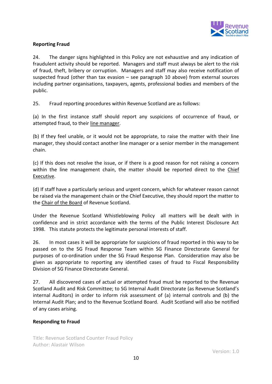

## **Reporting Fraud**

24. The danger signs highlighted in this Policy are not exhaustive and any indication of fraudulent activity should be reported. Managers and staff must always be alert to the risk of fraud, theft, bribery or corruption. Managers and staff may also receive notification of suspected fraud (other than tax evasion – see paragraph 10 above) from external sources including partner organisations, taxpayers, agents, professional bodies and members of the public.

25. Fraud reporting procedures within Revenue Scotland are as follows:

(a) In the first instance staff should report any suspicions of occurrence of fraud, or attempted fraud, to their line manager.

(b) If they feel unable, or it would not be appropriate, to raise the matter with their line manager, they should contact another line manager or a senior member in the management chain.

(c) If this does not resolve the issue, or if there is a good reason for not raising a concern within the line management chain, the matter should be reported direct to the Chief Executive.

(d) If staff have a particularly serious and urgent concern, which for whatever reason cannot be raised via the management chain or the Chief Executive, they should report the matter to the Chair of the Board of Revenue Scotland.

Under the Revenue Scotland Whistleblowing Policy all matters will be dealt with in confidence and in strict accordance with the terms of the Public Interest Disclosure Act 1998. This statute protects the legitimate personal interests of staff.

26. In most cases it will be appropriate for suspicions of fraud reported in this way to be passed on to the SG Fraud Response Team within SG Finance Directorate General for purposes of co-ordination under the SG Fraud Response Plan. Consideration may also be given as appropriate to reporting any identified cases of fraud to Fiscal Responsibility Division of SG Finance Directorate General.

27. All discovered cases of actual or attempted fraud must be reported to the Revenue Scotland Audit and Risk Committee; to SG Internal Audit Directorate (as Revenue Scotland's internal Auditors) in order to inform risk assessment of (a) internal controls and (b) the Internal Audit Plan; and to the Revenue Scotland Board. Audit Scotland will also be notified of any cases arising.

## **Responding to Fraud**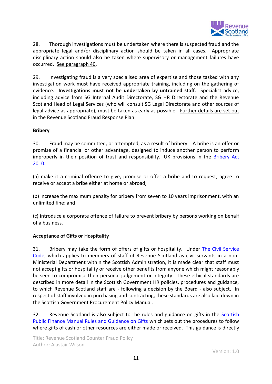

28. Thorough investigations must be undertaken where there is suspected fraud and the appropriate legal and/or disciplinary action should be taken in all cases. Appropriate disciplinary action should also be taken where supervisory or management failures have occurred. See paragraph 40.

29. Investigating fraud is a very specialised area of expertise and those tasked with any investigation work must have received appropriate training, including on the gathering of evidence. **Investigations must not be undertaken by untrained staff**. Specialist advice, including advice from SG Internal Audit Directorate, SG HR Directorate and the Revenue Scotland Head of Legal Services (who will consult SG Legal Directorate and other sources of legal advice as appropriate), must be taken as early as possible. Further details are set out in the Revenue Scotland Fraud Response Plan.

## **Bribery**

30. Fraud may be committed, or attempted, as a result of bribery. A bribe is an offer or promise of a financial or other advantage, designed to induce another person to perform improperly in their position of trust and responsibility. UK provisions in the Bribery Act [2010:](http://www.legislation.gov.uk/ukpga/2010/23/contents)

(a) make it a criminal offence to give, promise or offer a bribe and to request, agree to receive or accept a bribe either at home or abroad;

(b) increase the maximum penalty for bribery from seven to 10 years imprisonment, with an unlimited fine; and

(c) introduce a corporate offence of failure to prevent bribery by persons working on behalf of a business.

## **Acceptance of Gifts or Hospitality**

31. Bribery may take the form of offers of gifts or hospitality. Under [The Civil Service](https://www.gov.uk/government/publications/civil-service-code/the-civil-service-code)  [Code,](https://www.gov.uk/government/publications/civil-service-code/the-civil-service-code) which applies to members of staff of Revenue Scotland as civil servants in a non-Ministerial Department within the Scottish Administration, it is made clear that staff must not accept gifts or hospitality or receive other benefits from anyone which might reasonably be seen to compromise their personal judgement or integrity. These ethical standards are described in more detail in the Scottish Government HR policies, procedures and guidance, to which Revenue Scotland staff are - following a decision by the Board - also subject. In respect of staff involved in purchasing and contracting, these standards are also laid down in the Scottish Government Procurement Policy Manual.

32. Revenue Scotland is also subject to the rules and guidance on gifts in the [Scottish](http://www.gov.scot/Topics/Government/Finance/spfm/gifts)  [Public Finance Manual Rules and Guidance on Gifts](http://www.gov.scot/Topics/Government/Finance/spfm/gifts) which sets out the procedures to follow where gifts of cash or other resources are either made or received. This guidance is directly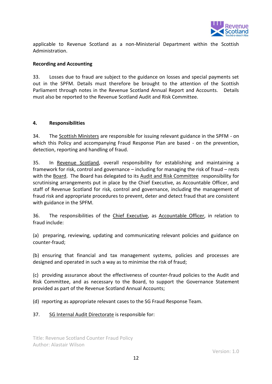

applicable to Revenue Scotland as a non-Ministerial Department within the Scottish Administration.

## **Recording and Accounting**

33. Losses due to fraud are subject to the guidance on losses and special payments set out in the SPFM. Details must therefore be brought to the attention of the Scottish Parliament through notes in the Revenue Scotland Annual Report and Accounts. Details must also be reported to the Revenue Scotland Audit and Risk Committee.

#### **4. Responsibilities**

34. The Scottish Ministers are responsible for issuing relevant guidance in the SPFM - on which this Policy and accompanying Fraud Response Plan are based - on the prevention, detection, reporting and handling of fraud.

35. In Revenue Scotland, overall responsibility for establishing and maintaining a framework for risk, control and governance – including for managing the risk of fraud – rests with the Board. The Board has delegated to its Audit and Risk Committee responsibility for scrutinising arrangements put in place by the Chief Executive, as Accountable Officer, and staff of Revenue Scotland for risk, control and governance, including the management of fraud risk and appropriate procedures to prevent, deter and detect fraud that are consistent with guidance in the SPFM.

36. The responsibilities of the Chief Executive, as Accountable Officer, in relation to fraud include:

(a) preparing, reviewing, updating and communicating relevant policies and guidance on counter-fraud;

(b) ensuring that financial and tax management systems, policies and processes are designed and operated in such a way as to minimise the risk of fraud;

(c) providing assurance about the effectiveness of counter-fraud policies to the Audit and Risk Committee, and as necessary to the Board, to support the Governance Statement provided as part of the Revenue Scotland Annual Accounts;

(d) reporting as appropriate relevant cases to the SG Fraud Response Team.

37. SG Internal Audit Directorate is responsible for: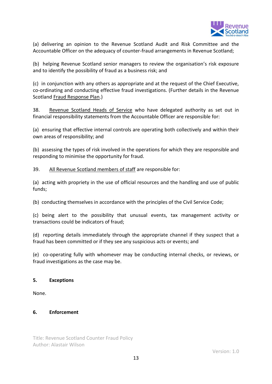

(a) delivering an opinion to the Revenue Scotland Audit and Risk Committee and the Accountable Officer on the adequacy of counter-fraud arrangements in Revenue Scotland;

(b) helping Revenue Scotland senior managers to review the organisation's risk exposure and to identify the possibility of fraud as a business risk; and

(c) in conjunction with any others as appropriate and at the request of the Chief Executive, co-ordinating and conducting effective fraud investigations. (Further details in the Revenue Scotland Fraud Response Plan.)

38. Revenue Scotland Heads of Service who have delegated authority as set out in financial responsibility statements from the Accountable Officer are responsible for:

(a) ensuring that effective internal controls are operating both collectively and within their own areas of responsibility; and

(b) assessing the types of risk involved in the operations for which they are responsible and responding to minimise the opportunity for fraud.

39. All Revenue Scotland members of staff are responsible for:

(a) acting with propriety in the use of official resources and the handling and use of public funds;

(b) conducting themselves in accordance with the principles of the Civil Service Code;

(c) being alert to the possibility that unusual events, tax management activity or transactions could be indicators of fraud;

(d) reporting details immediately through the appropriate channel if they suspect that a fraud has been committed or if they see any suspicious acts or events; and

(e) co-operating fully with whomever may be conducting internal checks, or reviews, or fraud investigations as the case may be.

## <span id="page-13-0"></span>**5. Exceptions**

None.

## <span id="page-13-1"></span>**6. Enforcement**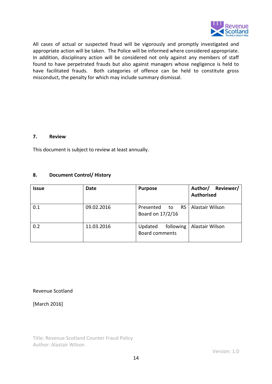

<span id="page-14-0"></span>All cases of actual or suspected fraud will be vigorously and promptly investigated and appropriate action will be taken. The Police will be informed where considered appropriate. In addition, disciplinary action will be considered not only against any members of staff found to have perpetrated frauds but also against managers whose negligence is held to have facilitated frauds. Both categories of offence can be held to constitute gross misconduct, the penalty for which may include summary dismissal.

#### **7. Review**

<span id="page-14-1"></span>This document is subject to review at least annually.

## **8. Document Control/ History**

| <b>Issue</b> | Date       | <b>Purpose</b>                                   | Author/<br>Reviewer/<br><b>Authorised</b> |
|--------------|------------|--------------------------------------------------|-------------------------------------------|
| 0.1          | 09.02.2016 | <b>RS</b><br>Presented<br>to<br>Board on 17/2/16 | Alastair Wilson                           |
| 0.2          | 11.03.2016 | following<br>Updated<br><b>Board comments</b>    | Alastair Wilson                           |

Revenue Scotland

[March 2016]